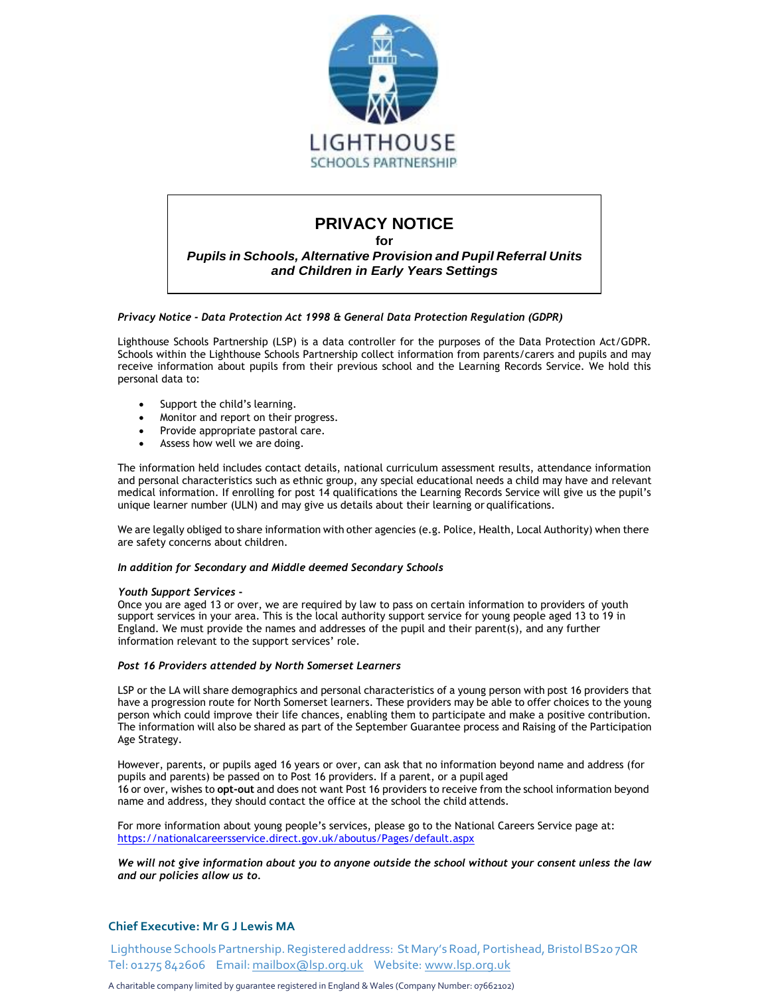

# **PRIVACY NOTICE**

**for**

*Pupils in Schools, Alternative Provision and Pupil Referral Units and Children in Early Years Settings*

*Privacy Notice - Data Protection Act 1998 & General Data Protection Regulation (GDPR)*

Lighthouse Schools Partnership (LSP) is a data controller for the purposes of the Data Protection Act/GDPR. Schools within the Lighthouse Schools Partnership collect information from parents/carers and pupils and may receive information about pupils from their previous school and the Learning Records Service. We hold this personal data to:

- Support the child's learning.
- Monitor and report on their progress.
- Provide appropriate pastoral care.
- Assess how well we are doing.

The information held includes contact details, national curriculum assessment results, attendance information and personal characteristics such as ethnic group, any special educational needs a child may have and relevant medical information. If enrolling for post 14 qualifications the Learning Records Service will give us the pupil's unique learner number (ULN) and may give us details about their learning or qualifications.

We are legally obliged to share information with other agencies (e.g. Police, Health, Local Authority) when there are safety concerns about children.

#### *In addition for Secondary and Middle deemed Secondary Schools*

#### *Youth Support Services* **-**

Once you are aged 13 or over, we are required by law to pass on certain information to providers of youth support services in your area. This is the local authority support service for young people aged 13 to 19 in England. We must provide the names and addresses of the pupil and their parent(s), and any further information relevant to the support services' role.

#### *Post 16 Providers attended by North Somerset Learners*

LSP or the LA will share demographics and personal characteristics of a young person with post 16 providers that have a progression route for North Somerset learners. These providers may be able to offer choices to the young person which could improve their life chances, enabling them to participate and make a positive contribution. The information will also be shared as part of the September Guarantee process and Raising of the Participation Age Strategy.

However, parents, or pupils aged 16 years or over, can ask that no information beyond name and address (for pupils and parents) be passed on to Post 16 providers. If a parent, or a pupil aged 16 or over, wishes to **opt-out** and does not want Post 16 providers to receive from the school information beyond name and address, they should contact the office at the school the child attends.

For more information about young people's services, please go to the National Careers Service page at: https://nationalcareersservice.direct.gov.uk/aboutus/Pages/default.aspx

*We will not give information about you to anyone outside the school without your consent unless the law and our policies allow us to.*

## **Chief Executive: Mr G J Lewis MA**

Lighthouse Schools Partnership. Registered address: St Mary's Road, Portishead, Bristol BS207QR Tel: 01275 842606 Email: [mailbox@lsp.org.uk](mailto:mailbox@lsp.org.uk) Website: [www.lsp.org.uk](http://www.lsp.org.uk/)

A charitable company limited by guarantee registered in England & Wales (Company Number: 07662102)